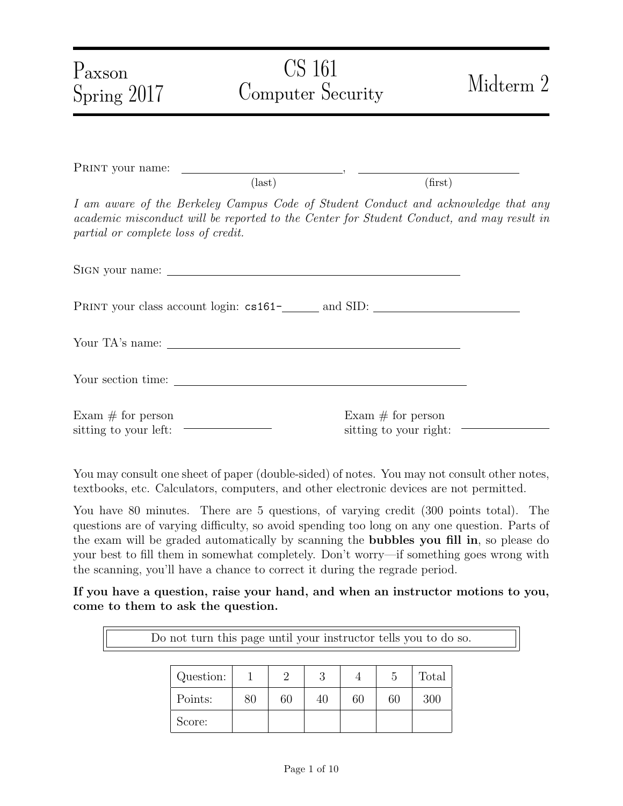| $P_{\rm axson}$<br>Spring 2017               | <b>CS</b> 161<br>Computer Security                                                                                                                                              | Midterm 2                                     |  |  |  |  |
|----------------------------------------------|---------------------------------------------------------------------------------------------------------------------------------------------------------------------------------|-----------------------------------------------|--|--|--|--|
|                                              |                                                                                                                                                                                 |                                               |  |  |  |  |
|                                              | $\text{(last)}$                                                                                                                                                                 | (first)                                       |  |  |  |  |
| partial or complete loss of credit.          | I am aware of the Berkeley Campus Code of Student Conduct and acknowledge that any<br>academic misconduct will be reported to the Center for Student Conduct, and may result in |                                               |  |  |  |  |
|                                              |                                                                                                                                                                                 |                                               |  |  |  |  |
|                                              |                                                                                                                                                                                 |                                               |  |  |  |  |
|                                              |                                                                                                                                                                                 |                                               |  |  |  |  |
|                                              |                                                                                                                                                                                 |                                               |  |  |  |  |
| Exam $#$ for person<br>sitting to your left: |                                                                                                                                                                                 | Exam $#$ for person<br>sitting to your right: |  |  |  |  |

You may consult one sheet of paper (double-sided) of notes. You may not consult other notes, textbooks, etc. Calculators, computers, and other electronic devices are not permitted.

You have 80 minutes. There are 5 questions, of varying credit (300 points total). The questions are of varying difficulty, so avoid spending too long on any one question. Parts of the exam will be graded automatically by scanning the bubbles you fill in, so please do your best to fill them in somewhat completely. Don't worry—if something goes wrong with the scanning, you'll have a chance to correct it during the regrade period.

If you have a question, raise your hand, and when an instructor motions to you, come to them to ask the question.

Do not turn this page until your instructor tells you to do so.

| Question: |    |    | 2<br>J |    |    | Total |
|-----------|----|----|--------|----|----|-------|
| Points:   | 80 | 60 | 40     | 60 | 60 | 300   |
| Score:    |    |    |        |    |    |       |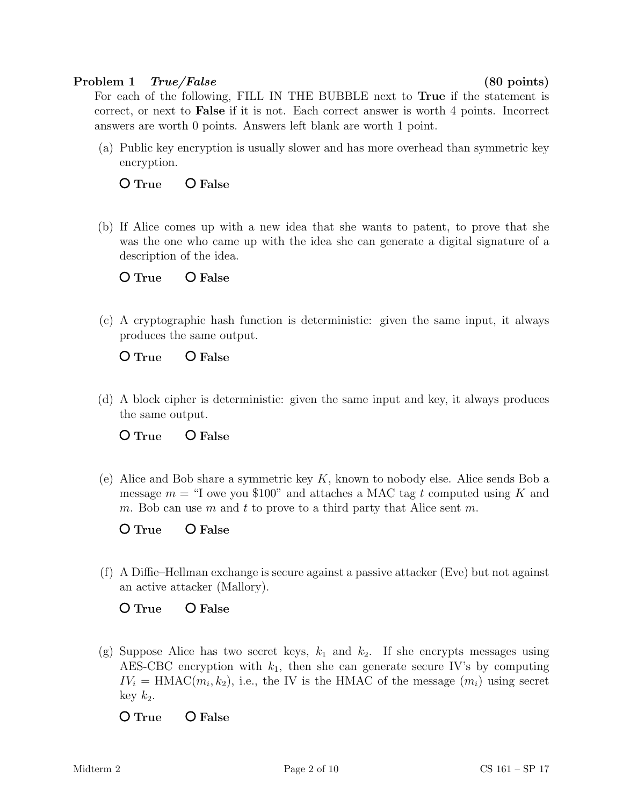## Problem 1 True/False (80 points)

For each of the following, FILL IN THE BUBBLE next to True if the statement is correct, or next to False if it is not. Each correct answer is worth 4 points. Incorrect answers are worth 0 points. Answers left blank are worth 1 point.

(a) Public key encryption is usually slower and has more overhead than symmetric key encryption.

O True O False

(b) If Alice comes up with a new idea that she wants to patent, to prove that she was the one who came up with the idea she can generate a digital signature of a description of the idea.

O True O False

(c) A cryptographic hash function is deterministic: given the same input, it always produces the same output.

O True O False

(d) A block cipher is deterministic: given the same input and key, it always produces the same output.

O True O False

(e) Alice and Bob share a symmetric key  $K$ , known to nobody else. Alice sends Bob a message  $m =$  "I owe you \$100" and attaches a MAC tag t computed using K and m. Bob can use m and t to prove to a third party that Alice sent m.

O True O False

(f) A Diffie–Hellman exchange is secure against a passive attacker (Eve) but not against an active attacker (Mallory).

# O True O False

(g) Suppose Alice has two secret keys,  $k_1$  and  $k_2$ . If she encrypts messages using AES-CBC encryption with  $k_1$ , then she can generate secure IV's by computing  $IV_i = \text{HMAC}(m_i, k_2)$ , i.e., the IV is the HMAC of the message  $(m_i)$  using secret  $key$   $k_2$ .

O True O False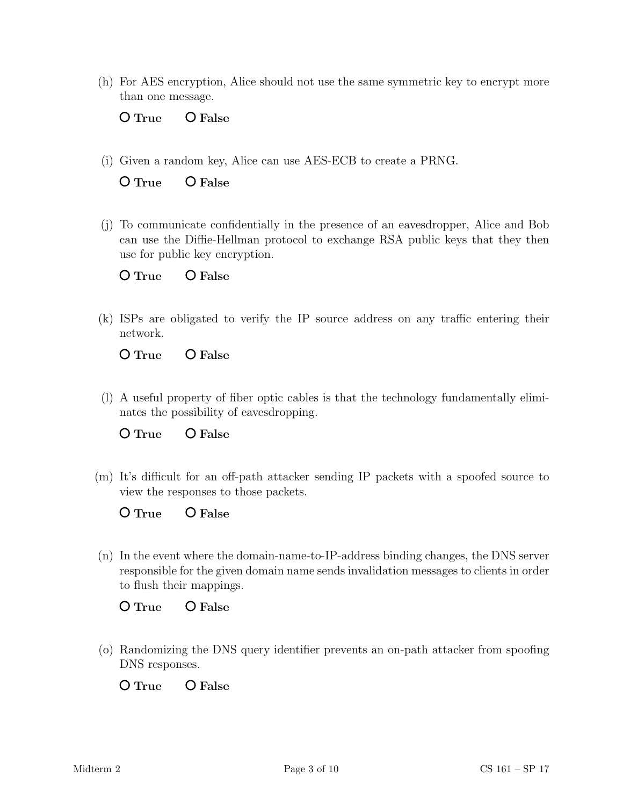(h) For AES encryption, Alice should not use the same symmetric key to encrypt more than one message.

O True O False

(i) Given a random key, Alice can use AES-ECB to create a PRNG.

O True O False

(j) To communicate confidentially in the presence of an eavesdropper, Alice and Bob can use the Diffie-Hellman protocol to exchange RSA public keys that they then use for public key encryption.

| $\mathsf{O} \mathop{\text{True}}$ | O False |
|-----------------------------------|---------|
|                                   |         |

(k) ISPs are obligated to verify the IP source address on any traffic entering their network.

O True O False

(l) A useful property of fiber optic cables is that the technology fundamentally eliminates the possibility of eavesdropping.

O True O False

(m) It's difficult for an off-path attacker sending IP packets with a spoofed source to view the responses to those packets.

O True O False

(n) In the event where the domain-name-to-IP-address binding changes, the DNS server responsible for the given domain name sends invalidation messages to clients in order to flush their mappings.

O True O False

(o) Randomizing the DNS query identifier prevents an on-path attacker from spoofing DNS responses.

O True O False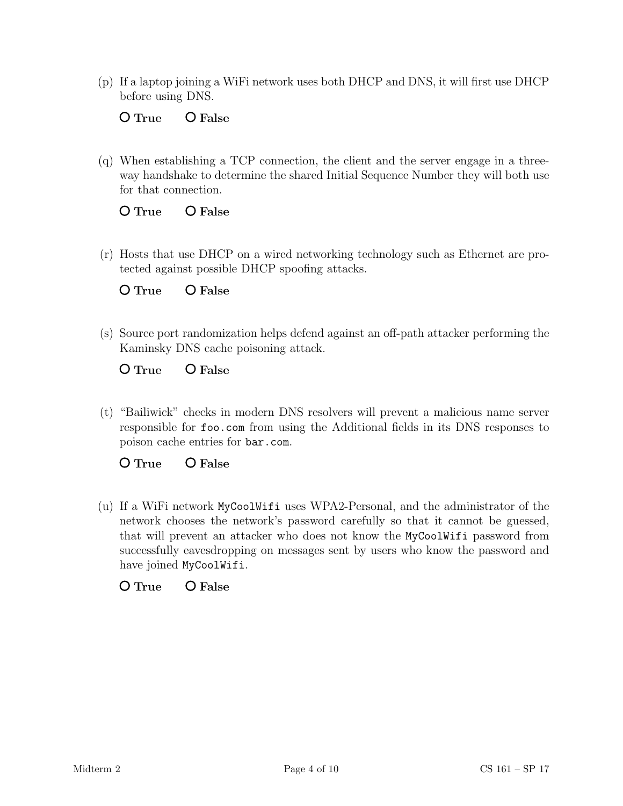(p) If a laptop joining a WiFi network uses both DHCP and DNS, it will first use DHCP before using DNS.

# O True O False

(q) When establishing a TCP connection, the client and the server engage in a threeway handshake to determine the shared Initial Sequence Number they will both use for that connection.

## O True O False

(r) Hosts that use DHCP on a wired networking technology such as Ethernet are protected against possible DHCP spoofing attacks.

O True O False

(s) Source port randomization helps defend against an off-path attacker performing the Kaminsky DNS cache poisoning attack.

O True O False

(t) "Bailiwick" checks in modern DNS resolvers will prevent a malicious name server responsible for foo.com from using the Additional fields in its DNS responses to poison cache entries for bar.com.

O True O False

(u) If a WiFi network MyCoolWifi uses WPA2-Personal, and the administrator of the network chooses the network's password carefully so that it cannot be guessed, that will prevent an attacker who does not know the MyCoolWifi password from successfully eavesdropping on messages sent by users who know the password and have joined MyCoolWifi.

# O True O False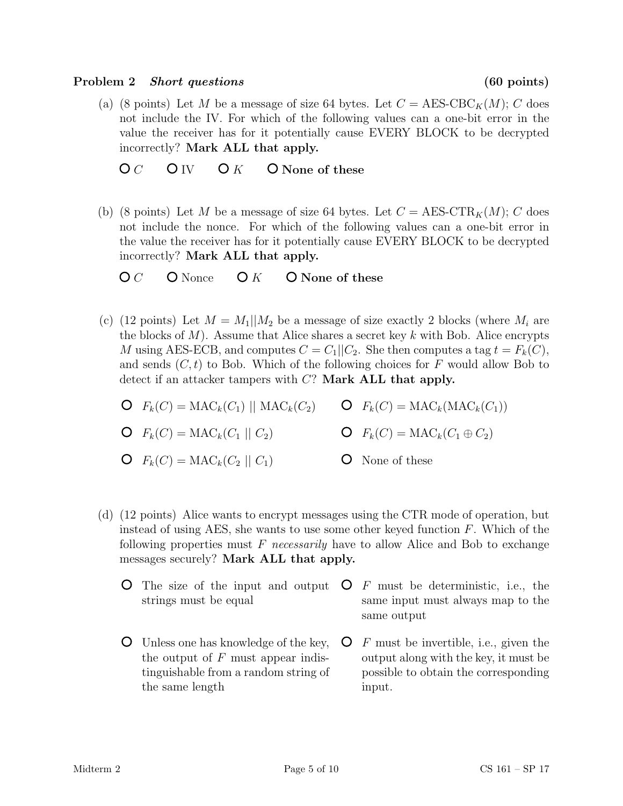#### Problem 2 Short questions (60 points)

(a) (8 points) Let M be a message of size 64 bytes. Let  $C = \text{AES-CBC}_K(M); C$  does not include the IV. For which of the following values can a one-bit error in the value the receiver has for it potentially cause EVERY BLOCK to be decrypted incorrectly? Mark ALL that apply.

 $OC$   $O IV$   $O K$   $O$  None of these

(b) (8 points) Let M be a message of size 64 bytes. Let  $C = \text{AES-CTR}_K(M); C$  does not include the nonce. For which of the following values can a one-bit error in the value the receiver has for it potentially cause EVERY BLOCK to be decrypted incorrectly? Mark ALL that apply.

 $\overline{O} C$  O Nonce  $\overline{O} K$  O None of these

- (c) (12 points) Let  $M = M_1||M_2$  be a message of size exactly 2 blocks (where  $M_i$  are the blocks of  $M$ ). Assume that Alice shares a secret key k with Bob. Alice encrypts M using AES-ECB, and computes  $C = C_1||C_2$ . She then computes a tag  $t = F_k(C)$ , and sends  $(C, t)$  to Bob. Which of the following choices for F would allow Bob to detect if an attacker tampers with  $C$ ? Mark ALL that apply.
	- $F_k(C) = \text{MAC}_k(C_1) \parallel \text{MAC}_k(C_2)$   $\qquad \text{O} \quad F_k(C) = \text{MAC}_k(\text{MAC}_k(C_1))$
	- $\mathbf{O} \quad F_k(C) = \text{MAC}_k(C_1 \mid C_2)$
- $\mathsf{O}$   $F_k(C) = \text{MAC}_k(C_1 \oplus C_2)$
- $\mathbf{O} \quad F_k(C) = \text{MAC}_k(C_2 \mid C_1)$ None of these
- (d) (12 points) Alice wants to encrypt messages using the CTR mode of operation, but instead of using AES, she wants to use some other keyed function  $F$ . Which of the following properties must  $F$  necessarily have to allow Alice and Bob to exchange messages securely? Mark ALL that apply.
	- The size of the input and output  $\bullet$  F must be deterministic, i.e., the strings must be equal same input must always map to the same output
	- Unless one has knowledge of the key, the output of  $F$  must appear indistinguishable from a random string of the same length  $\mathsf{O}$  F must be invertible, i.e., given the output along with the key, it must be possible to obtain the corresponding input.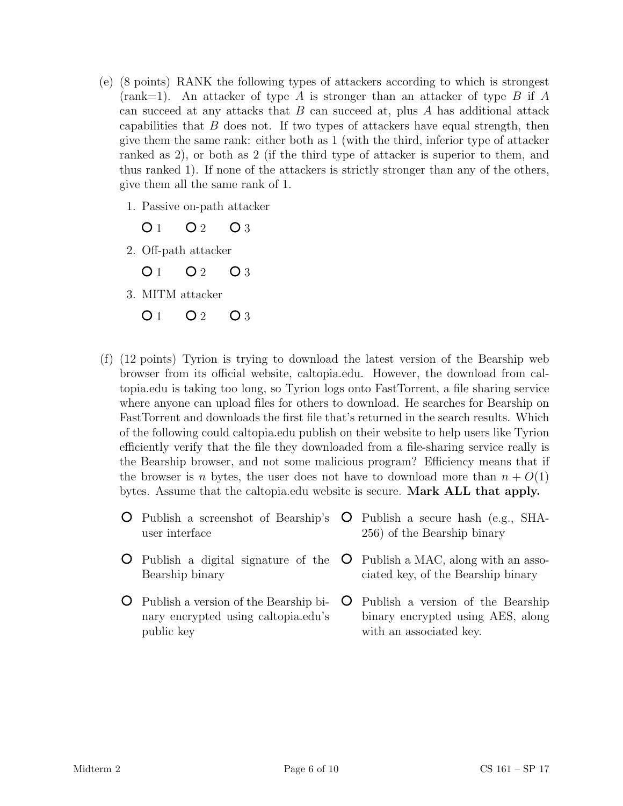- (e) (8 points) RANK the following types of attackers according to which is strongest  $(rank=1)$ . An attacker of type A is stronger than an attacker of type B if A can succeed at any attacks that  $B$  can succeed at, plus  $A$  has additional attack capabilities that  $B$  does not. If two types of attackers have equal strength, then give them the same rank: either both as 1 (with the third, inferior type of attacker ranked as 2), or both as 2 (if the third type of attacker is superior to them, and thus ranked 1). If none of the attackers is strictly stronger than any of the others, give them all the same rank of 1.
	- 1. Passive on-path attacker

 $O_1$   $O_2$   $O_3$ 

2. Off-path attacker

 $Q_1$   $Q_2$   $Q_3$ 

3. MITM attacker

 $O_1$   $O_2$   $O_3$ 

- (f) (12 points) Tyrion is trying to download the latest version of the Bearship web browser from its official website, caltopia.edu. However, the download from caltopia.edu is taking too long, so Tyrion logs onto FastTorrent, a file sharing service where anyone can upload files for others to download. He searches for Bearship on FastTorrent and downloads the first file that's returned in the search results. Which of the following could caltopia.edu publish on their website to help users like Tyrion efficiently verify that the file they downloaded from a file-sharing service really is the Bearship browser, and not some malicious program? Efficiency means that if the browser is n bytes, the user does not have to download more than  $n + O(1)$ bytes. Assume that the caltopia.edu website is secure. Mark ALL that apply.
	- Publish a screenshot of Bearship's user interface Publish a digital signature of the Bearship binary Publish a secure hash (e.g., SHA-256) of the Bearship binary Publish a MAC, along with an associated key, of the Bearship binary
	- Publish a version of the Bearship binary encrypted using caltopia.edu's public key Publish a version of the Bearship binary encrypted using AES, along with an associated key.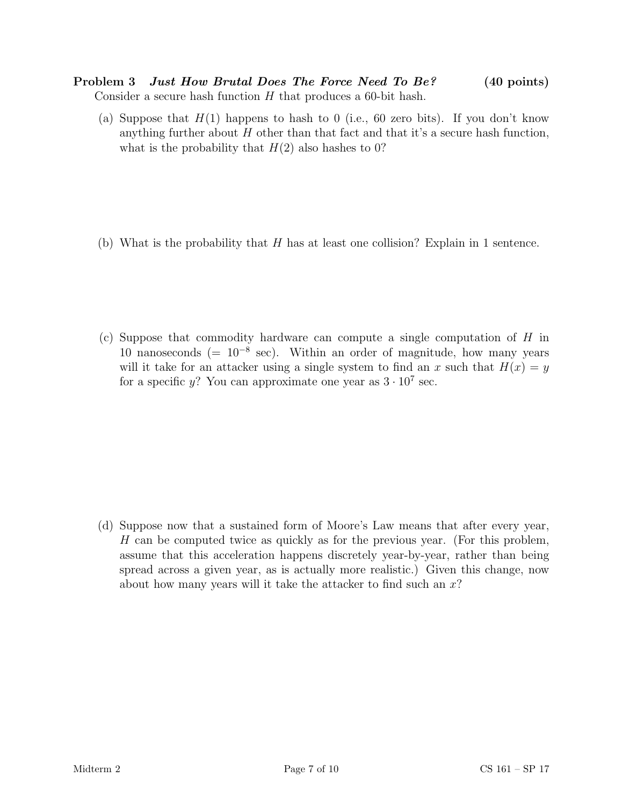Problem 3 Just How Brutal Does The Force Need To Be? (40 points) Consider a secure hash function  $H$  that produces a 60-bit hash.

(a) Suppose that  $H(1)$  happens to hash to 0 (i.e., 60 zero bits). If you don't know anything further about  $H$  other than that fact and that it's a secure hash function, what is the probability that  $H(2)$  also hashes to 0?

(b) What is the probability that  $H$  has at least one collision? Explain in 1 sentence.

(c) Suppose that commodity hardware can compute a single computation of H in 10 nanoseconds (=  $10^{-8}$  sec). Within an order of magnitude, how many years will it take for an attacker using a single system to find an x such that  $H(x) = y$ for a specific y? You can approximate one year as  $3 \cdot 10^7$  sec.

(d) Suppose now that a sustained form of Moore's Law means that after every year, H can be computed twice as quickly as for the previous year. (For this problem, assume that this acceleration happens discretely year-by-year, rather than being spread across a given year, as is actually more realistic.) Given this change, now about how many years will it take the attacker to find such an  $x$ ?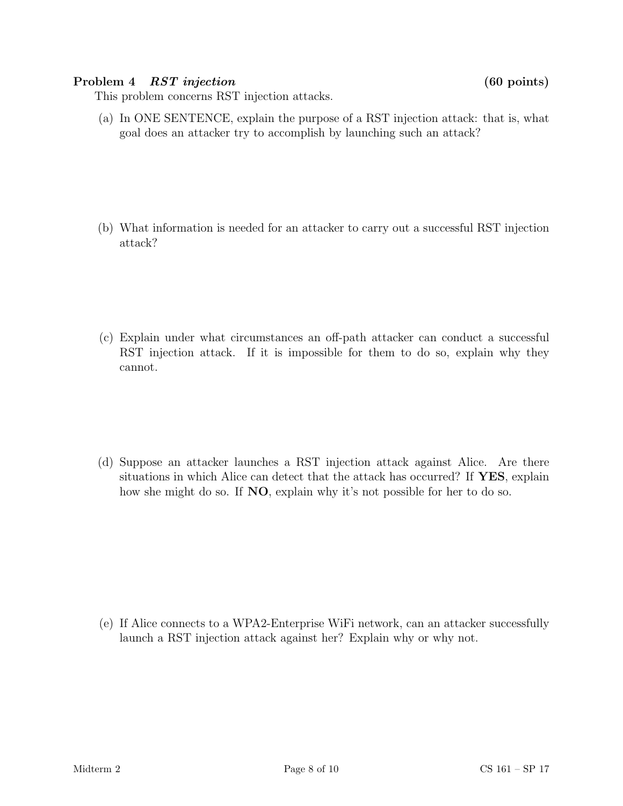### Problem 4 RST injection (60 points)

This problem concerns RST injection attacks.

(a) In ONE SENTENCE, explain the purpose of a RST injection attack: that is, what goal does an attacker try to accomplish by launching such an attack?

(b) What information is needed for an attacker to carry out a successful RST injection attack?

(c) Explain under what circumstances an off-path attacker can conduct a successful RST injection attack. If it is impossible for them to do so, explain why they cannot.

(d) Suppose an attacker launches a RST injection attack against Alice. Are there situations in which Alice can detect that the attack has occurred? If YES, explain how she might do so. If **NO**, explain why it's not possible for her to do so.

(e) If Alice connects to a WPA2-Enterprise WiFi network, can an attacker successfully launch a RST injection attack against her? Explain why or why not.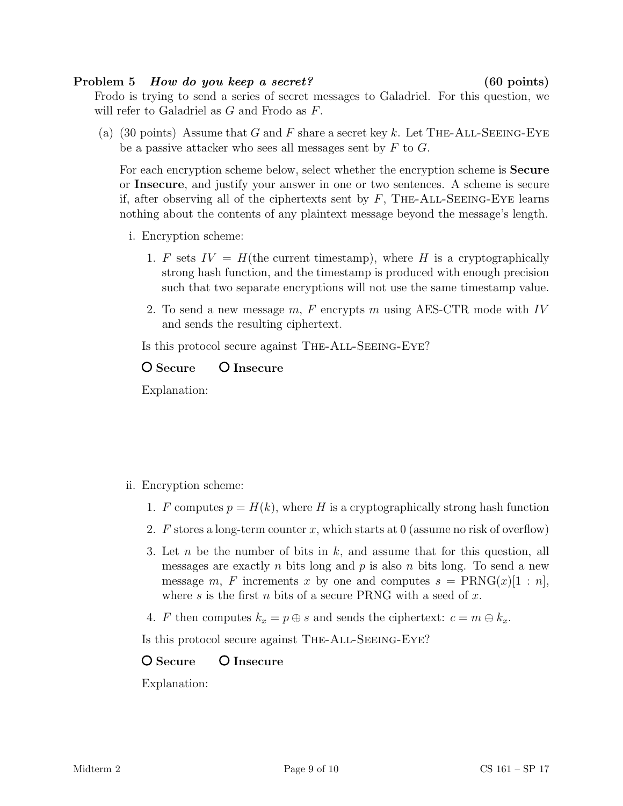#### Problem 5 How do you keep a secret? (60 points)

Frodo is trying to send a series of secret messages to Galadriel. For this question, we will refer to Galadriel as G and Frodo as F.

(a) (30 points) Assume that G and F share a secret key k. Let THE-ALL-SEEING-EYE be a passive attacker who sees all messages sent by  $F$  to  $G$ .

For each encryption scheme below, select whether the encryption scheme is Secure or Insecure, and justify your answer in one or two sentences. A scheme is secure if, after observing all of the ciphertexts sent by  $F$ , THE-ALL-SEEING-EYE learns nothing about the contents of any plaintext message beyond the message's length.

- i. Encryption scheme:
	- 1. F sets  $IV = H$ (the current timestamp), where H is a cryptographically strong hash function, and the timestamp is produced with enough precision such that two separate encryptions will not use the same timestamp value.
	- 2. To send a new message  $m$ , F encrypts m using AES-CTR mode with IV and sends the resulting ciphertext.

Is this protocol secure against The-All-Seeing-Eye?

## O Secure O Insecure

Explanation:

### ii. Encryption scheme:

- 1. F computes  $p = H(k)$ , where H is a cryptographically strong hash function
- 2. F stores a long-term counter x, which starts at 0 (assume no risk of overflow)
- 3. Let n be the number of bits in  $k$ , and assume that for this question, all messages are exactly n bits long and p is also n bits long. To send a new message m, F increments x by one and computes  $s = \text{PRNG}(x)[1:n]$ , where s is the first n bits of a secure PRNG with a seed of x.
- 4. F then computes  $k_x = p \oplus s$  and sends the ciphertext:  $c = m \oplus k_x$ .

Is this protocol secure against The-All-Seeing-Eye?

# O Secure O Insecure

Explanation: